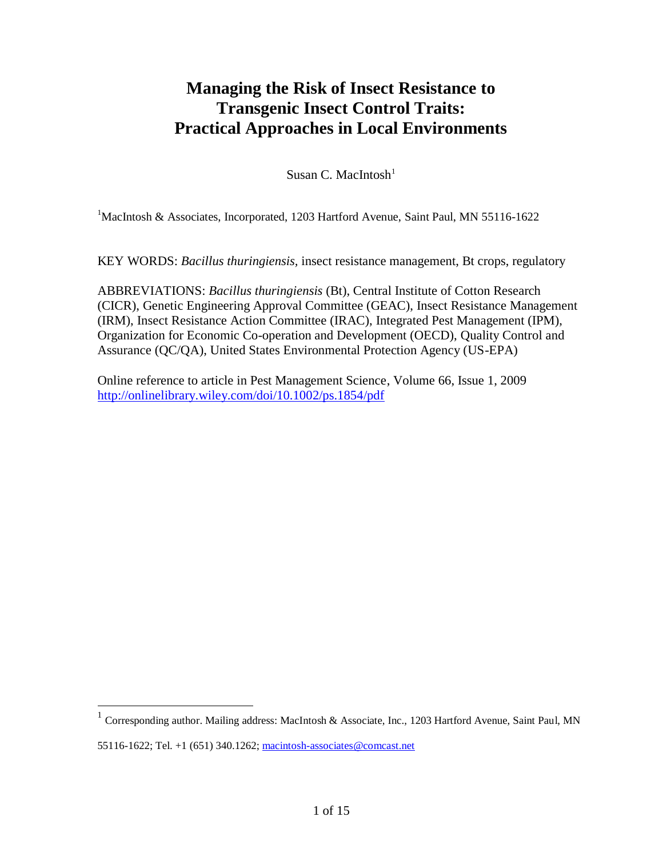# **Managing the Risk of Insect Resistance to Transgenic Insect Control Traits: Practical Approaches in Local Environments**

Susan C. MacIntosh $<sup>1</sup>$ </sup>

<sup>1</sup>MacIntosh & Associates, Incorporated, 1203 Hartford Avenue, Saint Paul, MN 55116-1622

KEY WORDS: *Bacillus thuringiensis,* insect resistance management, Bt crops, regulatory

ABBREVIATIONS: *Bacillus thuringiensis* (Bt), Central Institute of Cotton Research (CICR), Genetic Engineering Approval Committee (GEAC), Insect Resistance Management (IRM), Insect Resistance Action Committee (IRAC), Integrated Pest Management (IPM), Organization for Economic Co-operation and Development (OECD), Quality Control and Assurance (QC/QA), United States Environmental Protection Agency (US-EPA)

Online reference to article in Pest Management Science, [Volume 66, Issue 1,](http://onlinelibrary.wiley.com/doi/10.1002/ps.v66:1/issuetoc) 2009 <http://onlinelibrary.wiley.com/doi/10.1002/ps.1854/pdf>

<sup>1</sup> Corresponding author. Mailing address: MacIntosh & Associate, Inc., 1203 Hartford Avenue, Saint Paul, MN

55116-1622; Tel. +1 (651) 340.1262; [macintosh-associates@comcast.net](mailto:macintosh-associates@comcast.net)

 $\overline{a}$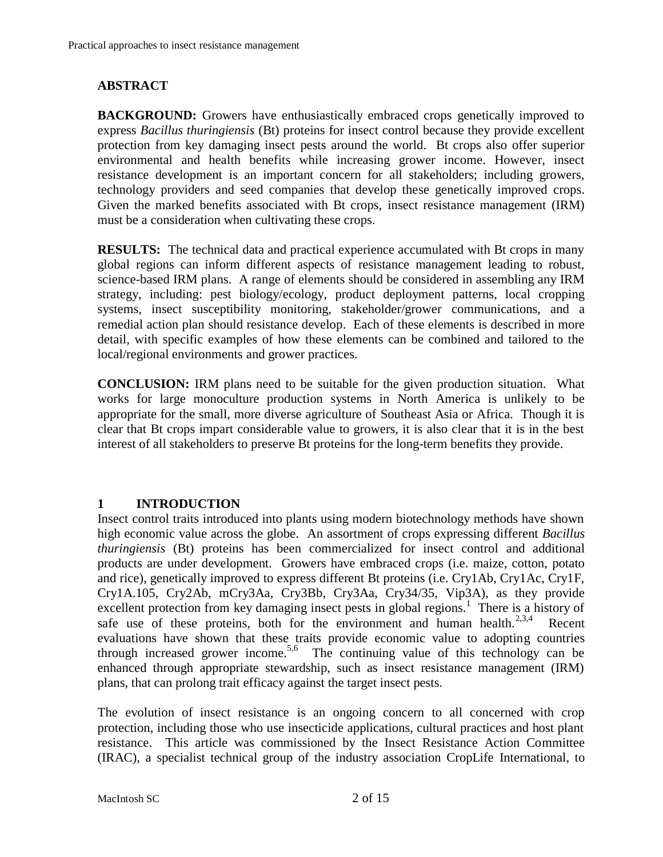# **ABSTRACT**

**BACKGROUND:** Growers have enthusiastically embraced crops genetically improved to express *Bacillus thuringiensis* (Bt) proteins for insect control because they provide excellent protection from key damaging insect pests around the world. Bt crops also offer superior environmental and health benefits while increasing grower income. However, insect resistance development is an important concern for all stakeholders; including growers, technology providers and seed companies that develop these genetically improved crops. Given the marked benefits associated with Bt crops, insect resistance management (IRM) must be a consideration when cultivating these crops.

**RESULTS:** The technical data and practical experience accumulated with Bt crops in many global regions can inform different aspects of resistance management leading to robust, science-based IRM plans. A range of elements should be considered in assembling any IRM strategy, including: pest biology/ecology, product deployment patterns, local cropping systems, insect susceptibility monitoring, stakeholder/grower communications, and a remedial action plan should resistance develop. Each of these elements is described in more detail, with specific examples of how these elements can be combined and tailored to the local/regional environments and grower practices.

**CONCLUSION:** IRM plans need to be suitable for the given production situation. What works for large monoculture production systems in North America is unlikely to be appropriate for the small, more diverse agriculture of Southeast Asia or Africa. Though it is clear that Bt crops impart considerable value to growers, it is also clear that it is in the best interest of all stakeholders to preserve Bt proteins for the long-term benefits they provide.

## **1 INTRODUCTION**

Insect control traits introduced into plants using modern biotechnology methods have shown high economic value across the globe. An assortment of crops expressing different *Bacillus thuringiensis* (Bt) proteins has been commercialized for insect control and additional products are under development. Growers have embraced crops (i.e. maize, cotton, potato and rice), genetically improved to express different Bt proteins (i.e. Cry1Ab, Cry1Ac, Cry1F, Cry1A.105, Cry2Ab, mCry3Aa, Cry3Bb, Cry3Aa, Cry34/35, Vip3A), as they provide excellent protection from key damaging insect pests in global regions.<sup>1</sup> There is a history of safe use of these proteins, both for the environment and human health. $2,3,4$  Recent evaluations have shown that these traits provide economic value to adopting countries through increased grower income.<sup>5,6</sup> The continuing value of this technology can be enhanced through appropriate stewardship, such as insect resistance management (IRM) plans, that can prolong trait efficacy against the target insect pests.

The evolution of insect resistance is an ongoing concern to all concerned with crop protection, including those who use insecticide applications, cultural practices and host plant resistance. This article was commissioned by the Insect Resistance Action Committee (IRAC), a specialist technical group of the industry association CropLife International, to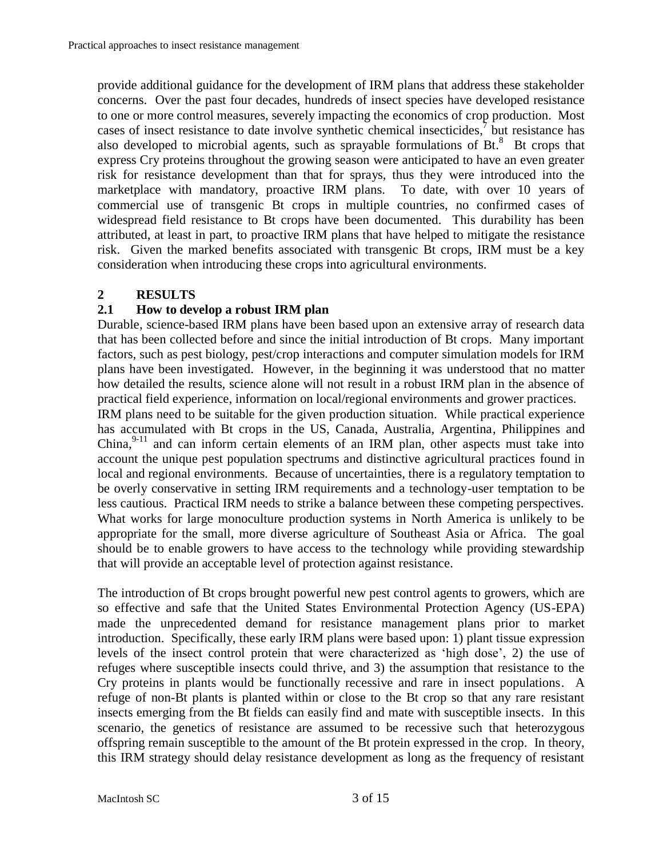provide additional guidance for the development of IRM plans that address these stakeholder concerns. Over the past four decades, hundreds of insect species have developed resistance to one or more control measures, severely impacting the economics of crop production. Most cases of insect resistance to date involve synthetic chemical insecticides, $\bar{j}$  but resistance has also developed to microbial agents, such as sprayable formulations of  $Bt$ .<sup>8</sup> Bt crops that express Cry proteins throughout the growing season were anticipated to have an even greater risk for resistance development than that for sprays, thus they were introduced into the marketplace with mandatory, proactive IRM plans. To date, with over 10 years of commercial use of transgenic Bt crops in multiple countries, no confirmed cases of widespread field resistance to Bt crops have been documented. This durability has been attributed, at least in part, to proactive IRM plans that have helped to mitigate the resistance risk. Given the marked benefits associated with transgenic Bt crops, IRM must be a key consideration when introducing these crops into agricultural environments.

#### **2 RESULTS**

#### **2.1 How to develop a robust IRM plan**

Durable, science-based IRM plans have been based upon an extensive array of research data that has been collected before and since the initial introduction of Bt crops. Many important factors, such as pest biology, pest/crop interactions and computer simulation models for IRM plans have been investigated. However, in the beginning it was understood that no matter how detailed the results, science alone will not result in a robust IRM plan in the absence of practical field experience, information on local/regional environments and grower practices.

IRM plans need to be suitable for the given production situation. While practical experience has accumulated with Bt crops in the US, Canada, Australia, Argentina, Philippines and China,<sup>9-11</sup> and can inform certain elements of an IRM plan, other aspects must take into account the unique pest population spectrums and distinctive agricultural practices found in local and regional environments. Because of uncertainties, there is a regulatory temptation to be overly conservative in setting IRM requirements and a technology-user temptation to be less cautious. Practical IRM needs to strike a balance between these competing perspectives. What works for large monoculture production systems in North America is unlikely to be appropriate for the small, more diverse agriculture of Southeast Asia or Africa. The goal should be to enable growers to have access to the technology while providing stewardship that will provide an acceptable level of protection against resistance.

The introduction of Bt crops brought powerful new pest control agents to growers, which are so effective and safe that the United States Environmental Protection Agency (US-EPA) made the unprecedented demand for resistance management plans prior to market introduction. Specifically, these early IRM plans were based upon: 1) plant tissue expression levels of the insect control protein that were characterized as 'high dose', 2) the use of refuges where susceptible insects could thrive, and 3) the assumption that resistance to the Cry proteins in plants would be functionally recessive and rare in insect populations. A refuge of non-Bt plants is planted within or close to the Bt crop so that any rare resistant insects emerging from the Bt fields can easily find and mate with susceptible insects. In this scenario, the genetics of resistance are assumed to be recessive such that heterozygous offspring remain susceptible to the amount of the Bt protein expressed in the crop. In theory, this IRM strategy should delay resistance development as long as the frequency of resistant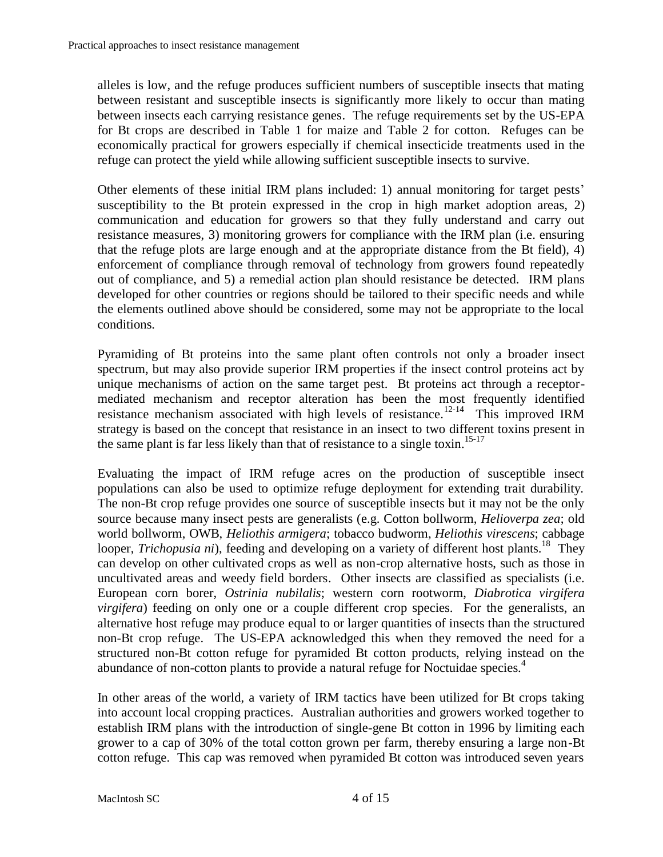alleles is low, and the refuge produces sufficient numbers of susceptible insects that mating between resistant and susceptible insects is significantly more likely to occur than mating between insects each carrying resistance genes. The refuge requirements set by the US-EPA for Bt crops are described in Table 1 for maize and Table 2 for cotton. Refuges can be economically practical for growers especially if chemical insecticide treatments used in the refuge can protect the yield while allowing sufficient susceptible insects to survive.

Other elements of these initial IRM plans included: 1) annual monitoring for target pests' susceptibility to the Bt protein expressed in the crop in high market adoption areas, 2) communication and education for growers so that they fully understand and carry out resistance measures, 3) monitoring growers for compliance with the IRM plan (i.e. ensuring that the refuge plots are large enough and at the appropriate distance from the Bt field), 4) enforcement of compliance through removal of technology from growers found repeatedly out of compliance, and 5) a remedial action plan should resistance be detected. IRM plans developed for other countries or regions should be tailored to their specific needs and while the elements outlined above should be considered, some may not be appropriate to the local conditions.

Pyramiding of Bt proteins into the same plant often controls not only a broader insect spectrum, but may also provide superior IRM properties if the insect control proteins act by unique mechanisms of action on the same target pest. Bt proteins act through a receptormediated mechanism and receptor alteration has been the most frequently identified resistance mechanism associated with high levels of resistance.<sup>12-14</sup> This improved IRM strategy is based on the concept that resistance in an insect to two different toxins present in the same plant is far less likely than that of resistance to a single toxin.<sup>15-17</sup>

Evaluating the impact of IRM refuge acres on the production of susceptible insect populations can also be used to optimize refuge deployment for extending trait durability. The non-Bt crop refuge provides one source of susceptible insects but it may not be the only source because many insect pests are generalists (e.g. Cotton bollworm, *Helioverpa zea*; old world bollworm, OWB, *Heliothis armigera*; tobacco budworm, *Heliothis virescens*; cabbage looper, *Trichopusia ni*), feeding and developing on a variety of different host plants.<sup>18</sup> They can develop on other cultivated crops as well as non-crop alternative hosts, such as those in uncultivated areas and weedy field borders. Other insects are classified as specialists (i.e. European corn borer, *Ostrinia nubilalis*; western corn rootworm, *Diabrotica virgifera virgifera*) feeding on only one or a couple different crop species. For the generalists, an alternative host refuge may produce equal to or larger quantities of insects than the structured non-Bt crop refuge. The US-EPA acknowledged this when they removed the need for a structured non-Bt cotton refuge for pyramided Bt cotton products, relying instead on the abundance of non-cotton plants to provide a natural refuge for Noctuidae species.<sup>4</sup>

In other areas of the world, a variety of IRM tactics have been utilized for Bt crops taking into account local cropping practices. Australian authorities and growers worked together to establish IRM plans with the introduction of single-gene Bt cotton in 1996 by limiting each grower to a cap of 30% of the total cotton grown per farm, thereby ensuring a large non-Bt cotton refuge. This cap was removed when pyramided Bt cotton was introduced seven years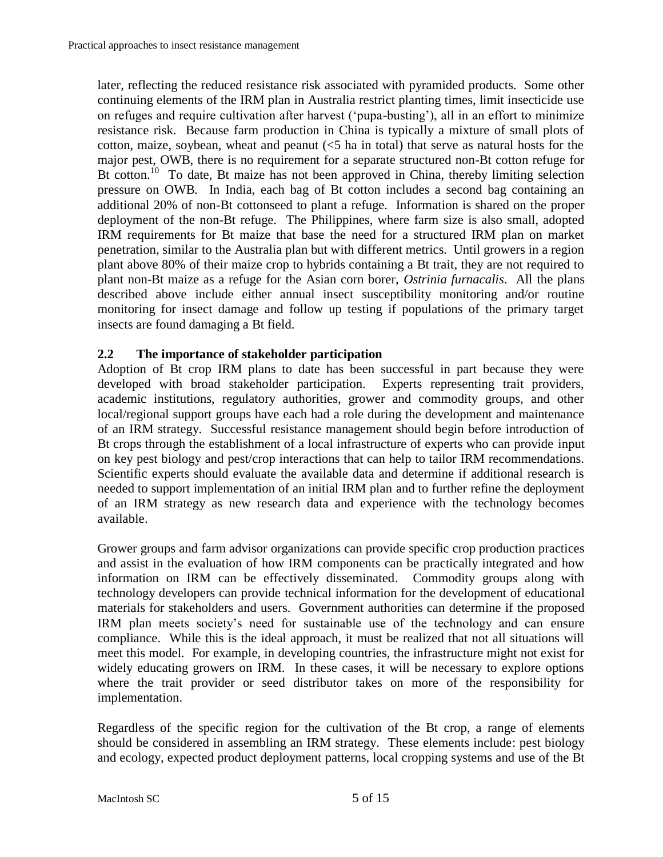later, reflecting the reduced resistance risk associated with pyramided products. Some other continuing elements of the IRM plan in Australia restrict planting times, limit insecticide use on refuges and require cultivation after harvest ('pupa-busting'), all in an effort to minimize resistance risk. Because farm production in China is typically a mixture of small plots of cotton, maize, soybean, wheat and peanut  $(< 5$  ha in total) that serve as natural hosts for the major pest, OWB, there is no requirement for a separate structured non-Bt cotton refuge for Bt cotton.<sup>10</sup> To date, Bt maize has not been approved in China, thereby limiting selection pressure on OWB*.* In India, each bag of Bt cotton includes a second bag containing an additional 20% of non-Bt cottonseed to plant a refuge. Information is shared on the proper deployment of the non-Bt refuge. The Philippines, where farm size is also small, adopted IRM requirements for Bt maize that base the need for a structured IRM plan on market penetration, similar to the Australia plan but with different metrics. Until growers in a region plant above 80% of their maize crop to hybrids containing a Bt trait, they are not required to plant non-Bt maize as a refuge for the Asian corn borer, *Ostrinia furnacalis*. All the plans described above include either annual insect susceptibility monitoring and/or routine monitoring for insect damage and follow up testing if populations of the primary target insects are found damaging a Bt field.

#### **2.2 The importance of stakeholder participation**

Adoption of Bt crop IRM plans to date has been successful in part because they were developed with broad stakeholder participation. Experts representing trait providers, academic institutions, regulatory authorities, grower and commodity groups, and other local/regional support groups have each had a role during the development and maintenance of an IRM strategy. Successful resistance management should begin before introduction of Bt crops through the establishment of a local infrastructure of experts who can provide input on key pest biology and pest/crop interactions that can help to tailor IRM recommendations. Scientific experts should evaluate the available data and determine if additional research is needed to support implementation of an initial IRM plan and to further refine the deployment of an IRM strategy as new research data and experience with the technology becomes available.

Grower groups and farm advisor organizations can provide specific crop production practices and assist in the evaluation of how IRM components can be practically integrated and how information on IRM can be effectively disseminated. Commodity groups along with technology developers can provide technical information for the development of educational materials for stakeholders and users. Government authorities can determine if the proposed IRM plan meets society's need for sustainable use of the technology and can ensure compliance. While this is the ideal approach, it must be realized that not all situations will meet this model. For example, in developing countries, the infrastructure might not exist for widely educating growers on IRM. In these cases, it will be necessary to explore options where the trait provider or seed distributor takes on more of the responsibility for implementation.

Regardless of the specific region for the cultivation of the Bt crop, a range of elements should be considered in assembling an IRM strategy. These elements include: pest biology and ecology, expected product deployment patterns, local cropping systems and use of the Bt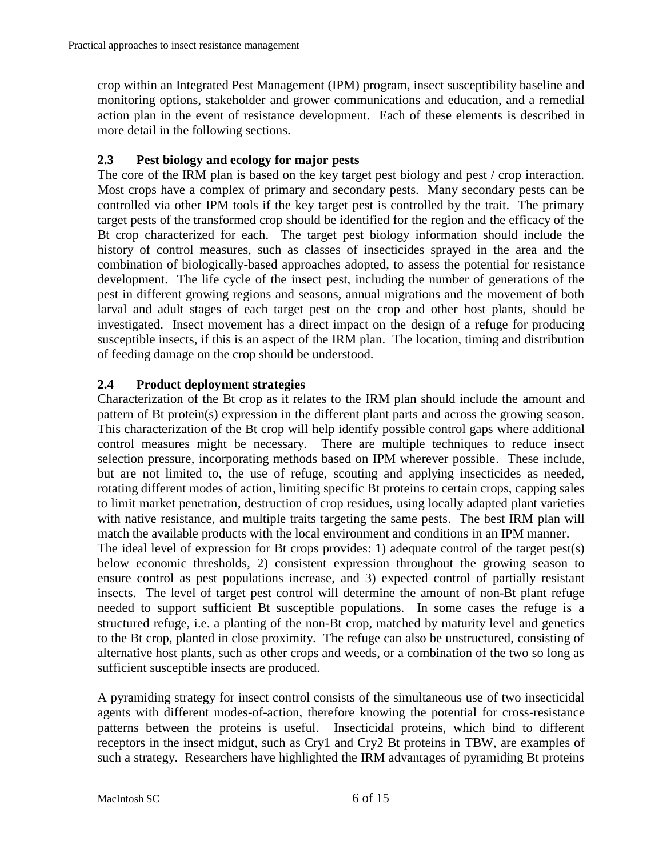crop within an Integrated Pest Management (IPM) program, insect susceptibility baseline and monitoring options, stakeholder and grower communications and education, and a remedial action plan in the event of resistance development. Each of these elements is described in more detail in the following sections.

#### **2.3 Pest biology and ecology for major pests**

The core of the IRM plan is based on the key target pest biology and pest / crop interaction. Most crops have a complex of primary and secondary pests. Many secondary pests can be controlled via other IPM tools if the key target pest is controlled by the trait. The primary target pests of the transformed crop should be identified for the region and the efficacy of the Bt crop characterized for each. The target pest biology information should include the history of control measures, such as classes of insecticides sprayed in the area and the combination of biologically-based approaches adopted, to assess the potential for resistance development. The life cycle of the insect pest, including the number of generations of the pest in different growing regions and seasons, annual migrations and the movement of both larval and adult stages of each target pest on the crop and other host plants, should be investigated. Insect movement has a direct impact on the design of a refuge for producing susceptible insects, if this is an aspect of the IRM plan. The location, timing and distribution of feeding damage on the crop should be understood.

#### **2.4 Product deployment strategies**

Characterization of the Bt crop as it relates to the IRM plan should include the amount and pattern of Bt protein(s) expression in the different plant parts and across the growing season. This characterization of the Bt crop will help identify possible control gaps where additional control measures might be necessary. There are multiple techniques to reduce insect selection pressure, incorporating methods based on IPM wherever possible. These include, but are not limited to, the use of refuge, scouting and applying insecticides as needed, rotating different modes of action, limiting specific Bt proteins to certain crops, capping sales to limit market penetration, destruction of crop residues, using locally adapted plant varieties with native resistance, and multiple traits targeting the same pests. The best IRM plan will match the available products with the local environment and conditions in an IPM manner. The ideal level of expression for Bt crops provides: 1) adequate control of the target pest(s)

below economic thresholds, 2) consistent expression throughout the growing season to ensure control as pest populations increase, and 3) expected control of partially resistant insects. The level of target pest control will determine the amount of non-Bt plant refuge needed to support sufficient Bt susceptible populations. In some cases the refuge is a structured refuge, i.e. a planting of the non-Bt crop, matched by maturity level and genetics to the Bt crop, planted in close proximity. The refuge can also be unstructured, consisting of alternative host plants, such as other crops and weeds, or a combination of the two so long as sufficient susceptible insects are produced.

A pyramiding strategy for insect control consists of the simultaneous use of two insecticidal agents with different modes-of-action, therefore knowing the potential for cross-resistance patterns between the proteins is useful. Insecticidal proteins, which bind to different receptors in the insect midgut, such as Cry1 and Cry2 Bt proteins in TBW, are examples of such a strategy. Researchers have highlighted the IRM advantages of pyramiding Bt proteins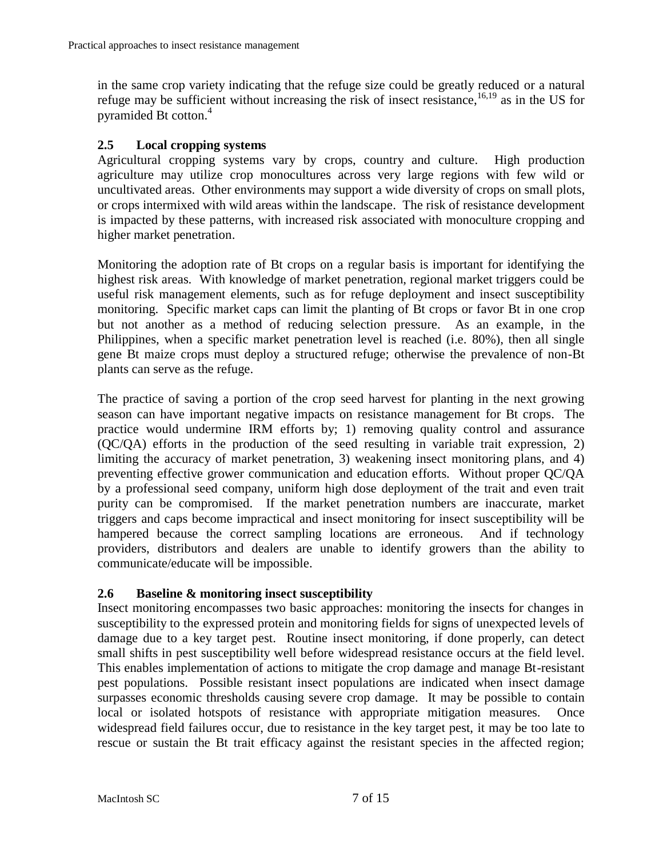in the same crop variety indicating that the refuge size could be greatly reduced or a natural refuge may be sufficient without increasing the risk of insect resistance,<sup>16,19</sup> as in the US for pyramided Bt cotton. 4

#### **2.5 Local cropping systems**

Agricultural cropping systems vary by crops, country and culture. High production agriculture may utilize crop monocultures across very large regions with few wild or uncultivated areas. Other environments may support a wide diversity of crops on small plots, or crops intermixed with wild areas within the landscape. The risk of resistance development is impacted by these patterns, with increased risk associated with monoculture cropping and higher market penetration.

Monitoring the adoption rate of Bt crops on a regular basis is important for identifying the highest risk areas. With knowledge of market penetration, regional market triggers could be useful risk management elements, such as for refuge deployment and insect susceptibility monitoring. Specific market caps can limit the planting of Bt crops or favor Bt in one crop but not another as a method of reducing selection pressure. As an example, in the Philippines, when a specific market penetration level is reached (i.e. 80%), then all single gene Bt maize crops must deploy a structured refuge; otherwise the prevalence of non-Bt plants can serve as the refuge.

The practice of saving a portion of the crop seed harvest for planting in the next growing season can have important negative impacts on resistance management for Bt crops. The practice would undermine IRM efforts by; 1) removing quality control and assurance (QC/QA) efforts in the production of the seed resulting in variable trait expression, 2) limiting the accuracy of market penetration, 3) weakening insect monitoring plans, and 4) preventing effective grower communication and education efforts. Without proper QC/QA by a professional seed company, uniform high dose deployment of the trait and even trait purity can be compromised. If the market penetration numbers are inaccurate, market triggers and caps become impractical and insect monitoring for insect susceptibility will be hampered because the correct sampling locations are erroneous. And if technology providers, distributors and dealers are unable to identify growers than the ability to communicate/educate will be impossible.

## **2.6 Baseline & monitoring insect susceptibility**

Insect monitoring encompasses two basic approaches: monitoring the insects for changes in susceptibility to the expressed protein and monitoring fields for signs of unexpected levels of damage due to a key target pest. Routine insect monitoring, if done properly, can detect small shifts in pest susceptibility well before widespread resistance occurs at the field level. This enables implementation of actions to mitigate the crop damage and manage Bt-resistant pest populations. Possible resistant insect populations are indicated when insect damage surpasses economic thresholds causing severe crop damage. It may be possible to contain local or isolated hotspots of resistance with appropriate mitigation measures. Once widespread field failures occur, due to resistance in the key target pest, it may be too late to rescue or sustain the Bt trait efficacy against the resistant species in the affected region;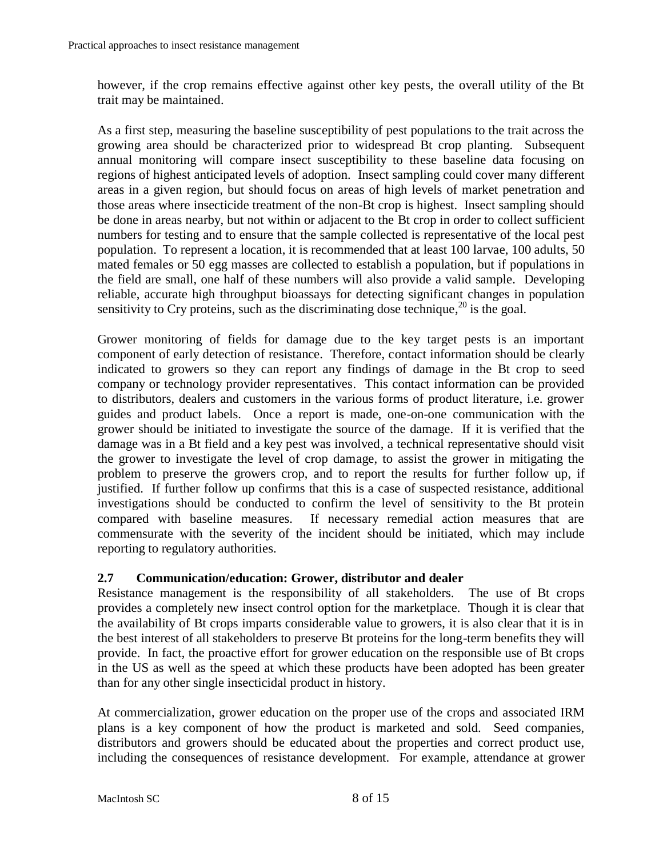however, if the crop remains effective against other key pests, the overall utility of the Bt trait may be maintained.

As a first step, measuring the baseline susceptibility of pest populations to the trait across the growing area should be characterized prior to widespread Bt crop planting. Subsequent annual monitoring will compare insect susceptibility to these baseline data focusing on regions of highest anticipated levels of adoption. Insect sampling could cover many different areas in a given region, but should focus on areas of high levels of market penetration and those areas where insecticide treatment of the non-Bt crop is highest. Insect sampling should be done in areas nearby, but not within or adjacent to the Bt crop in order to collect sufficient numbers for testing and to ensure that the sample collected is representative of the local pest population. To represent a location, it is recommended that at least 100 larvae, 100 adults, 50 mated females or 50 egg masses are collected to establish a population, but if populations in the field are small, one half of these numbers will also provide a valid sample. Developing reliable, accurate high throughput bioassays for detecting significant changes in population sensitivity to Cry proteins, such as the discriminating dose technique,  $^{20}$  is the goal.

Grower monitoring of fields for damage due to the key target pests is an important component of early detection of resistance. Therefore, contact information should be clearly indicated to growers so they can report any findings of damage in the Bt crop to seed company or technology provider representatives. This contact information can be provided to distributors, dealers and customers in the various forms of product literature, i.e. grower guides and product labels. Once a report is made, one-on-one communication with the grower should be initiated to investigate the source of the damage. If it is verified that the damage was in a Bt field and a key pest was involved, a technical representative should visit the grower to investigate the level of crop damage, to assist the grower in mitigating the problem to preserve the growers crop, and to report the results for further follow up, if justified. If further follow up confirms that this is a case of suspected resistance, additional investigations should be conducted to confirm the level of sensitivity to the Bt protein compared with baseline measures. If necessary remedial action measures that are commensurate with the severity of the incident should be initiated, which may include reporting to regulatory authorities.

## **2.7 Communication/education: Grower, distributor and dealer**

Resistance management is the responsibility of all stakeholders. The use of Bt crops provides a completely new insect control option for the marketplace. Though it is clear that the availability of Bt crops imparts considerable value to growers, it is also clear that it is in the best interest of all stakeholders to preserve Bt proteins for the long-term benefits they will provide. In fact, the proactive effort for grower education on the responsible use of Bt crops in the US as well as the speed at which these products have been adopted has been greater than for any other single insecticidal product in history.

At commercialization, grower education on the proper use of the crops and associated IRM plans is a key component of how the product is marketed and sold. Seed companies, distributors and growers should be educated about the properties and correct product use, including the consequences of resistance development. For example, attendance at grower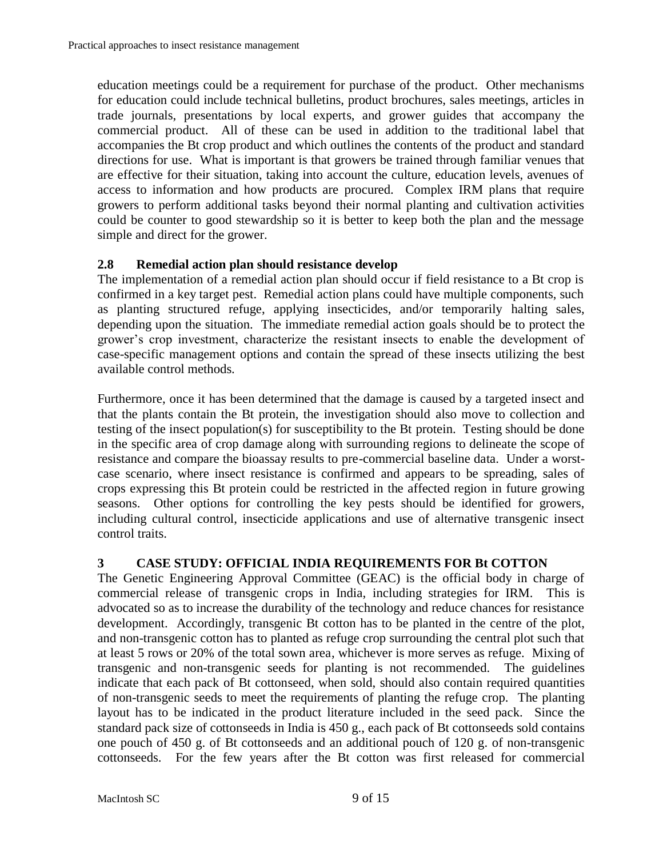education meetings could be a requirement for purchase of the product. Other mechanisms for education could include technical bulletins, product brochures, sales meetings, articles in trade journals, presentations by local experts, and grower guides that accompany the commercial product. All of these can be used in addition to the traditional label that accompanies the Bt crop product and which outlines the contents of the product and standard directions for use. What is important is that growers be trained through familiar venues that are effective for their situation, taking into account the culture, education levels, avenues of access to information and how products are procured. Complex IRM plans that require growers to perform additional tasks beyond their normal planting and cultivation activities could be counter to good stewardship so it is better to keep both the plan and the message simple and direct for the grower.

#### **2.8 Remedial action plan should resistance develop**

The implementation of a remedial action plan should occur if field resistance to a Bt crop is confirmed in a key target pest. Remedial action plans could have multiple components, such as planting structured refuge, applying insecticides, and/or temporarily halting sales, depending upon the situation. The immediate remedial action goals should be to protect the grower's crop investment, characterize the resistant insects to enable the development of case-specific management options and contain the spread of these insects utilizing the best available control methods.

Furthermore, once it has been determined that the damage is caused by a targeted insect and that the plants contain the Bt protein, the investigation should also move to collection and testing of the insect population(s) for susceptibility to the Bt protein. Testing should be done in the specific area of crop damage along with surrounding regions to delineate the scope of resistance and compare the bioassay results to pre-commercial baseline data. Under a worstcase scenario, where insect resistance is confirmed and appears to be spreading, sales of crops expressing this Bt protein could be restricted in the affected region in future growing seasons. Other options for controlling the key pests should be identified for growers, including cultural control, insecticide applications and use of alternative transgenic insect control traits.

## **3 CASE STUDY: OFFICIAL INDIA REQUIREMENTS FOR Bt COTTON**

The Genetic Engineering Approval Committee (GEAC) is the official body in charge of commercial release of transgenic crops in India, including strategies for IRM. This is advocated so as to increase the durability of the technology and reduce chances for resistance development. Accordingly, transgenic Bt cotton has to be planted in the centre of the plot, and non-transgenic cotton has to planted as refuge crop surrounding the central plot such that at least 5 rows or 20% of the total sown area, whichever is more serves as refuge. Mixing of transgenic and non-transgenic seeds for planting is not recommended. The guidelines indicate that each pack of Bt cottonseed, when sold, should also contain required quantities of non-transgenic seeds to meet the requirements of planting the refuge crop. The planting layout has to be indicated in the product literature included in the seed pack. Since the standard pack size of cottonseeds in India is 450 g., each pack of Bt cottonseeds sold contains one pouch of 450 g. of Bt cottonseeds and an additional pouch of 120 g. of non-transgenic cottonseeds. For the few years after the Bt cotton was first released for commercial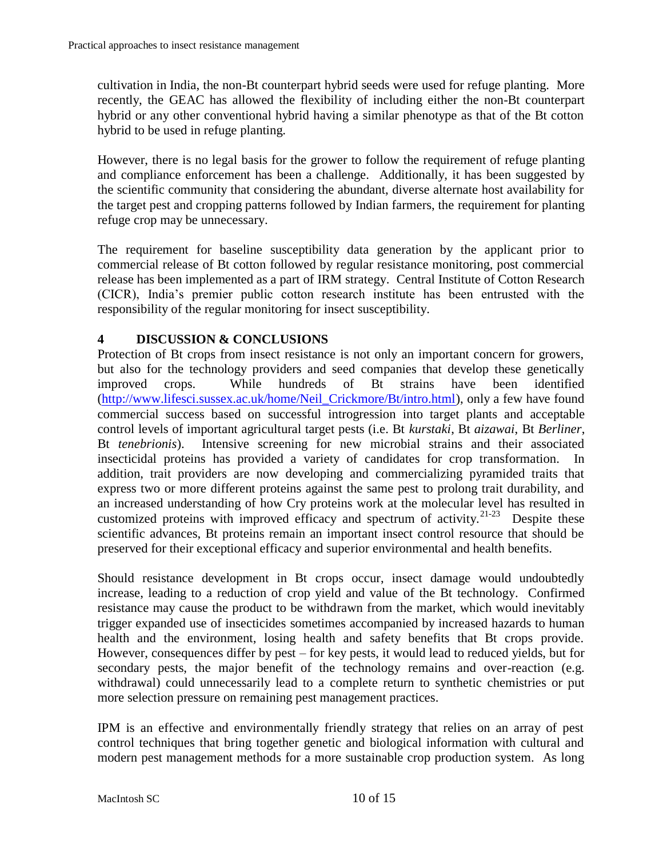cultivation in India, the non-Bt counterpart hybrid seeds were used for refuge planting. More recently, the GEAC has allowed the flexibility of including either the non-Bt counterpart hybrid or any other conventional hybrid having a similar phenotype as that of the Bt cotton hybrid to be used in refuge planting.

However, there is no legal basis for the grower to follow the requirement of refuge planting and compliance enforcement has been a challenge. Additionally, it has been suggested by the scientific community that considering the abundant, diverse alternate host availability for the target pest and cropping patterns followed by Indian farmers, the requirement for planting refuge crop may be unnecessary.

The requirement for baseline susceptibility data generation by the applicant prior to commercial release of Bt cotton followed by regular resistance monitoring, post commercial release has been implemented as a part of IRM strategy. Central Institute of Cotton Research (CICR), India's premier public cotton research institute has been entrusted with the responsibility of the regular monitoring for insect susceptibility.

## **4 DISCUSSION & CONCLUSIONS**

Protection of Bt crops from insect resistance is not only an important concern for growers, but also for the technology providers and seed companies that develop these genetically improved crops. While hundreds of Bt strains have been identified [\(http://www.lifesci.sussex.ac.uk/home/Neil\\_Crickmore/Bt/intro.html\)](http://www.lifesci.sussex.ac.uk/home/Neil_Crickmore/Bt/intro.html), only a few have found commercial success based on successful introgression into target plants and acceptable control levels of important agricultural target pests (i.e. Bt *kurstaki*, Bt *aizawai*, Bt *Berliner*, Bt *tenebrionis*). Intensive screening for new microbial strains and their associated insecticidal proteins has provided a variety of candidates for crop transformation. In addition, trait providers are now developing and commercializing pyramided traits that express two or more different proteins against the same pest to prolong trait durability, and an increased understanding of how Cry proteins work at the molecular level has resulted in customized proteins with improved efficacy and spectrum of activity.<sup>21-23</sup> Despite these scientific advances, Bt proteins remain an important insect control resource that should be preserved for their exceptional efficacy and superior environmental and health benefits.

Should resistance development in Bt crops occur, insect damage would undoubtedly increase, leading to a reduction of crop yield and value of the Bt technology. Confirmed resistance may cause the product to be withdrawn from the market, which would inevitably trigger expanded use of insecticides sometimes accompanied by increased hazards to human health and the environment, losing health and safety benefits that Bt crops provide. However, consequences differ by pest – for key pests, it would lead to reduced yields, but for secondary pests, the major benefit of the technology remains and over-reaction (e.g. withdrawal) could unnecessarily lead to a complete return to synthetic chemistries or put more selection pressure on remaining pest management practices.

IPM is an effective and environmentally friendly strategy that relies on an array of pest control techniques that bring together genetic and biological information with cultural and modern pest management methods for a more sustainable crop production system. As long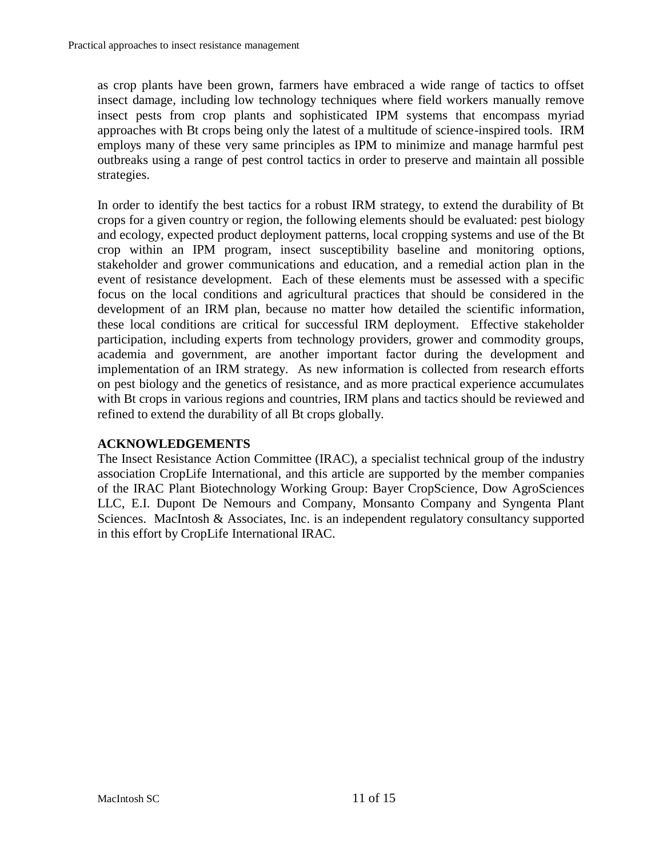as crop plants have been grown, farmers have embraced a wide range of tactics to offset insect damage, including low technology techniques where field workers manually remove insect pests from crop plants and sophisticated IPM systems that encompass myriad approaches with Bt crops being only the latest of a multitude of science-inspired tools. IRM employs many of these very same principles as IPM to minimize and manage harmful pest outbreaks using a range of pest control tactics in order to preserve and maintain all possible strategies.

In order to identify the best tactics for a robust IRM strategy, to extend the durability of Bt crops for a given country or region, the following elements should be evaluated: pest biology and ecology, expected product deployment patterns, local cropping systems and use of the Bt crop within an IPM program, insect susceptibility baseline and monitoring options, stakeholder and grower communications and education, and a remedial action plan in the event of resistance development. Each of these elements must be assessed with a specific focus on the local conditions and agricultural practices that should be considered in the development of an IRM plan, because no matter how detailed the scientific information, these local conditions are critical for successful IRM deployment. Effective stakeholder participation, including experts from technology providers, grower and commodity groups, academia and government, are another important factor during the development and implementation of an IRM strategy. As new information is collected from research efforts on pest biology and the genetics of resistance, and as more practical experience accumulates with Bt crops in various regions and countries, IRM plans and tactics should be reviewed and refined to extend the durability of all Bt crops globally.

## **ACKNOWLEDGEMENTS**

The Insect Resistance Action Committee (IRAC), a specialist technical group of the industry association CropLife International, and this article are supported by the member companies of the IRAC Plant Biotechnology Working Group: Bayer CropScience, Dow AgroSciences LLC, E.I. Dupont De Nemours and Company, Monsanto Company and Syngenta Plant Sciences. MacIntosh & Associates, Inc. is an independent regulatory consultancy supported in this effort by CropLife International IRAC.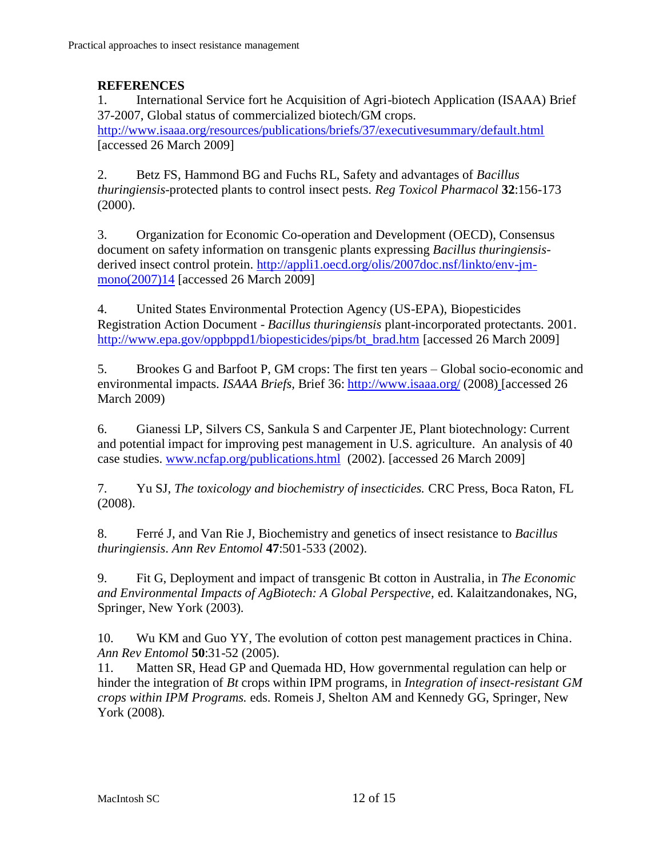# **REFERENCES**

1. International Service fort he Acquisition of Agri-biotech Application (ISAAA) Brief 37-2007, Global status of commercialized biotech/GM crops. <http://www.isaaa.org/resources/publications/briefs/37/executivesummary/default.html> [accessed 26 March 2009]

2. Betz FS, Hammond BG and Fuchs RL, Safety and advantages of *Bacillus thuringiensis*-protected plants to control insect pests. *Reg Toxicol Pharmacol* **32**:156-173 (2000).

3. Organization for Economic Co-operation and Development (OECD), Consensus document on safety information on transgenic plants expressing *Bacillus thuringiensis*derived insect control protein. [http://appli1.oecd.org/olis/2007doc.nsf/linkto/env-jm](http://appli1.oecd.org/olis/2007doc.nsf/linkto/env-jm-mono(2007)14)[mono\(2007\)14](http://appli1.oecd.org/olis/2007doc.nsf/linkto/env-jm-mono(2007)14) [accessed 26 March 2009]

4. United States Environmental Protection Agency (US-EPA), Biopesticides Registration Action Document - *Bacillus thuringiensis* plant-incorporated protectants. 2001. [http://www.epa.gov/oppbppd1/biopesticides/pips/bt\\_brad.htm](http://www.epa.gov/oppbppd1/biopesticides/pips/bt_brad.htm) [accessed 26 March 2009]

5. Brookes G and Barfoot P, GM crops: The first ten years – Global socio-economic and environmental impacts. *ISAAA Briefs,* Brief 36:<http://www.isaaa.org/> (2008) [accessed 26 March 2009)

6. Gianessi LP, Silvers CS, Sankula S and Carpenter JE, Plant biotechnology: Current and potential impact for improving pest management in U.S. agriculture. An analysis of 40 case studies. [www.ncfap.org/publications.html](http://www.ncfap.org/publications.html) (2002). [accessed 26 March 2009]

7. Yu SJ, *The toxicology and biochemistry of insecticides.* CRC Press, Boca Raton, FL (2008).

8. Ferré J, and Van Rie J, Biochemistry and genetics of insect resistance to *Bacillus thuringiensis*. *Ann Rev Entomol* **47**:501-533 (2002).

9. Fit G, Deployment and impact of transgenic Bt cotton in Australia, in *The Economic and Environmental Impacts of AgBiotech: A Global Perspective,* ed. Kalaitzandonakes, NG, Springer, New York (2003)*.*

10. Wu KM and Guo YY, The evolution of cotton pest management practices in China. *Ann Rev Entomol* **50**:31-52 (2005).

11. Matten SR, Head GP and Quemada HD, How governmental regulation can help or hinder the integration of *Bt* crops within IPM programs, in *Integration of insect-resistant GM crops within IPM Programs.* eds. Romeis J, Shelton AM and Kennedy GG, Springer, New York (2008)*.*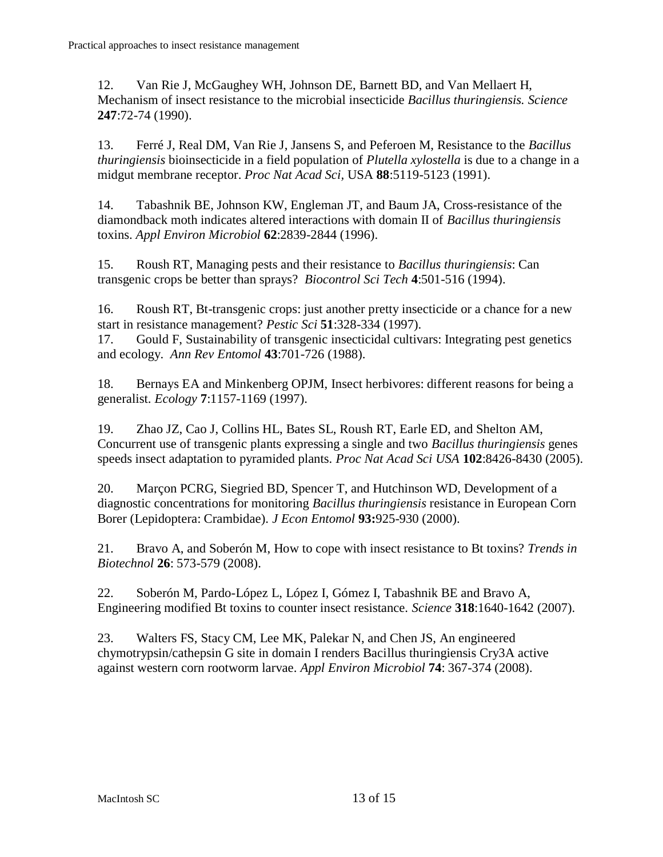12. Van Rie J, McGaughey WH, Johnson DE, Barnett BD, and Van Mellaert H, Mechanism of insect resistance to the microbial insecticide *Bacillus thuringiensis. Science* **247**:72-74 (1990).

13. Ferré J, Real DM, Van Rie J, Jansens S, and Peferoen M, Resistance to the *Bacillus thuringiensis* bioinsecticide in a field population of *Plutella xylostella* is due to a change in a midgut membrane receptor. *Proc Nat Acad Sci,* USA **88**:5119-5123 (1991).

14. Tabashnik BE, Johnson KW, Engleman JT, and Baum JA, Cross-resistance of the diamondback moth indicates altered interactions with domain II of *Bacillus thuringiensis*  toxins. *Appl Environ Microbiol* **62**:2839-2844 (1996).

15. Roush RT, Managing pests and their resistance to *Bacillus thuringiensis*: Can transgenic crops be better than sprays? *Biocontrol Sci Tech* **4**:501-516 (1994).

16. Roush RT, Bt-transgenic crops: just another pretty insecticide or a chance for a new start in resistance management? *Pestic Sci* **51**:328-334 (1997).

17. Gould F, Sustainability of transgenic insecticidal cultivars: Integrating pest genetics and ecology. *Ann Rev Entomol* **43**:701-726 (1988).

18. Bernays EA and Minkenberg OPJM, Insect herbivores: different reasons for being a generalist. *Ecology* **7**:1157-1169 (1997).

19. Zhao JZ, Cao J, Collins HL, Bates SL, Roush RT, Earle ED, and Shelton AM, Concurrent use of transgenic plants expressing a single and two *Bacillus thuringiensis* genes speeds insect adaptation to pyramided plants. *Proc Nat Acad Sci USA* **102**:8426-8430 (2005).

20. Marçon PCRG, Siegried BD, Spencer T, and Hutchinson WD, Development of a diagnostic concentrations for monitoring *Bacillus thuringiensis* resistance in European Corn Borer (Lepidoptera: Crambidae). *J Econ Entomol* **93:**925-930 (2000).

21. Bravo A, and Soberón M, How to cope with insect resistance to Bt toxins? *Trends in Biotechnol* **26**: 573-579 (2008).

22. Soberón M, Pardo-López L, López I, Gómez I, Tabashnik BE and Bravo A, Engineering modified Bt toxins to counter insect resistance. *Science* **318**:1640-1642 (2007).

23. Walters FS, Stacy CM, Lee MK, Palekar N, and Chen JS, An engineered chymotrypsin/cathepsin G site in domain I renders Bacillus thuringiensis Cry3A active against western corn rootworm larvae. *Appl Environ Microbiol* **74**: 367-374 (2008).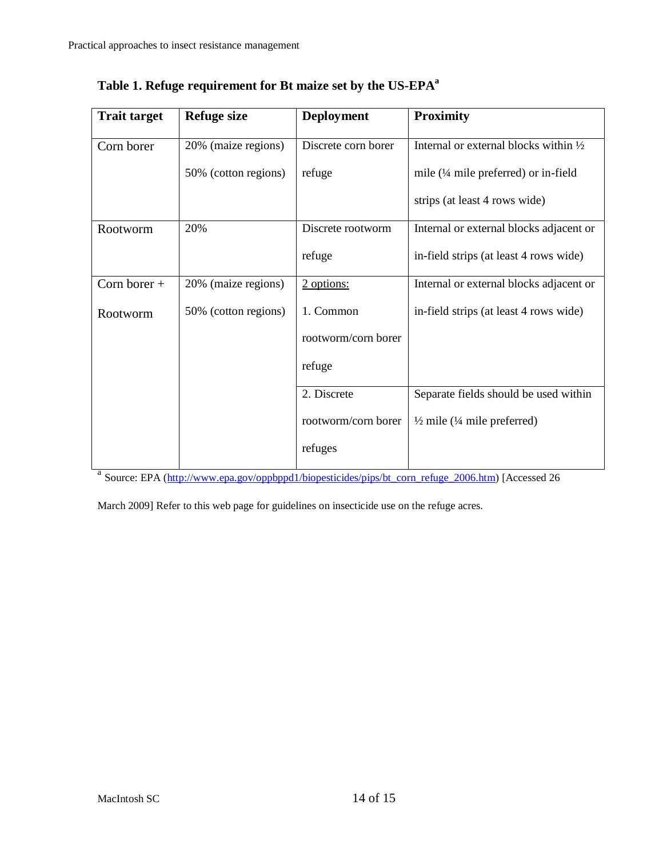| <b>Trait target</b> | <b>Refuge size</b>   | <b>Deployment</b>   | <b>Proximity</b>                                   |  |
|---------------------|----------------------|---------------------|----------------------------------------------------|--|
| Corn borer          | 20% (maize regions)  | Discrete corn borer | Internal or external blocks within 1/2             |  |
|                     | 50% (cotton regions) | refuge              | mile $(1/4$ mile preferred) or in-field            |  |
|                     |                      |                     | strips (at least 4 rows wide)                      |  |
| Rootworm            | 20%                  | Discrete rootworm   | Internal or external blocks adjacent or            |  |
|                     |                      | refuge              | in-field strips (at least 4 rows wide)             |  |
| Corn borer $+$      | 20% (maize regions)  | 2 options:          | Internal or external blocks adjacent or            |  |
| Rootworm            | 50% (cotton regions) | 1. Common           | in-field strips (at least 4 rows wide)             |  |
|                     |                      | rootworm/corn borer |                                                    |  |
|                     |                      | refuge              |                                                    |  |
|                     |                      | 2. Discrete         | Separate fields should be used within              |  |
|                     |                      | rootworm/corn borer | $\frac{1}{2}$ mile ( $\frac{1}{4}$ mile preferred) |  |
|                     |                      | refuges             |                                                    |  |

<sup>a</sup> Source: EPA [\(http://www.epa.gov/oppbppd1/biopesticides/pips/bt\\_corn\\_refuge\\_2006.htm\)](http://www.epa.gov/oppbppd1/biopesticides/pips/bt_corn_refuge_2006.htm) [Accessed 26]

March 2009] Refer to this web page for guidelines on insecticide use on the refuge acres.